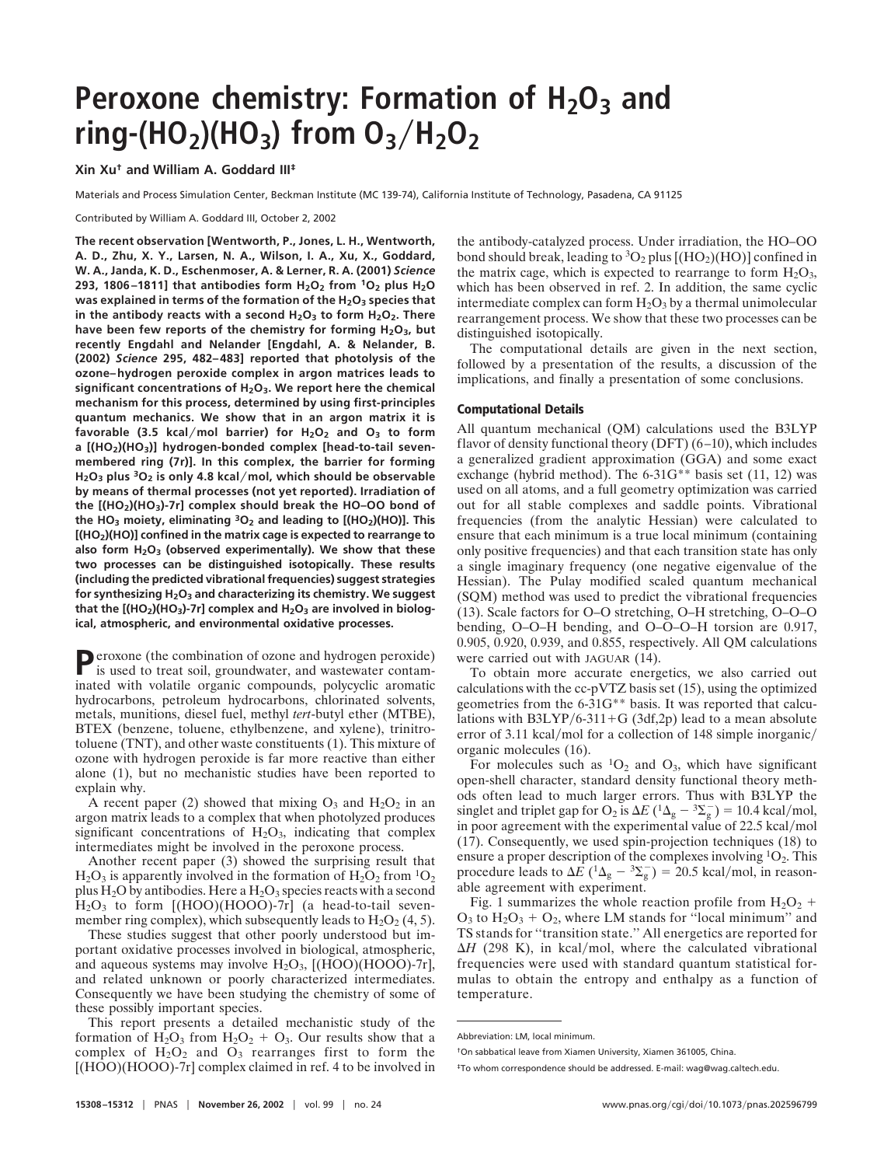# **Peroxone chemistry: Formation of H<sub>2</sub>O<sub>3</sub> and**  $ring-(HO_2)(HO_3)$  from  $O_3/H_2O_2$

**Xin Xu† and William A. Goddard III‡**

Materials and Process Simulation Center, Beckman Institute (MC 139-74), California Institute of Technology, Pasadena, CA 91125

Contributed by William A. Goddard III, October 2, 2002

**The recent observation [Wentworth, P., Jones, L. H., Wentworth, A. D., Zhu, X. Y., Larsen, N. A., Wilson, I. A., Xu, X., Goddard, W. A., Janda, K. D., Eschenmoser, A. & Lerner, R. A. (2001)** *Science* **293, 1806–1811] that antibodies form H2O2 from 1O2 plus H2O was explained in terms of the formation of the H2O3 species that** in the antibody reacts with a second H<sub>2</sub>O<sub>3</sub> to form H<sub>2</sub>O<sub>2</sub>. There have been few reports of the chemistry for forming H<sub>2</sub>O<sub>3</sub>, but **recently Engdahl and Nelander [Engdahl, A. & Nelander, B. (2002)** *Science* **295, 482–483] reported that photolysis of the ozone–hydrogen peroxide complex in argon matrices leads to significant concentrations of H2O3. We report here the chemical mechanism for this process, determined by using first-principles quantum mechanics. We show that in an argon matrix it is favorable (3.5 kcalmol barrier) for H2O2 and O3 to form** a [(HO<sub>2</sub>)(HO<sub>3</sub>)] hydrogen-bonded complex [head-to-tail seven**membered ring (7r)]. In this complex, the barrier for forming H2O3 plus 3O2 is only 4.8 kcalmol, which should be observable by means of thermal processes (not yet reported). Irradiation of the [(HO2)(HO3)-7r] complex should break the HO–OO bond of the HO3 moiety, eliminating 3O2 and leading to [(HO2)(HO)]. This [(HO2)(HO)] confined in the matrix cage is expected to rearrange to also form H2O3 (observed experimentally). We show that these two processes can be distinguished isotopically. These results (including the predicted vibrational frequencies) suggest strategies for synthesizing H2O3 and characterizing its chemistry. We suggest** that the [(HO<sub>2</sub>)(HO<sub>3</sub>)-7r] complex and H<sub>2</sub>O<sub>3</sub> are involved in biolog**ical, atmospheric, and environmental oxidative processes.**

Peroxone (the combination of ozone and hydrogen peroxide) is used to treat soil, groundwater, and wastewater contaminated with volatile organic compounds, polycyclic aromatic hydrocarbons, petroleum hydrocarbons, chlorinated solvents, metals, munitions, diesel fuel, methyl *tert*-butyl ether (MTBE), BTEX (benzene, toluene, ethylbenzene, and xylene), trinitrotoluene (TNT), and other waste constituents (1). This mixture of ozone with hydrogen peroxide is far more reactive than either alone (1), but no mechanistic studies have been reported to explain why.

A recent paper (2) showed that mixing  $O_3$  and  $H_2O_2$  in an argon matrix leads to a complex that when photolyzed produces significant concentrations of  $H_2O_3$ , indicating that complex intermediates might be involved in the peroxone process.

Another recent paper (3) showed the surprising result that  $H_2O_3$  is apparently involved in the formation of  $H_2O_2$  from  ${}^{1}O_2$ plus  $H_2O$  by antibodies. Here a  $H_2O_3$  species reacts with a second  $H<sub>2</sub>O<sub>3</sub>$  to form  $[(HOO)(HOOO)-7r]$  (a head-to-tail sevenmember ring complex), which subsequently leads to  $H_2O_2$  (4, 5).

These studies suggest that other poorly understood but important oxidative processes involved in biological, atmospheric, and aqueous systems may involve  $H_2O_3$ , [(HOO)(HOOO)-7r], and related unknown or poorly characterized intermediates. Consequently we have been studying the chemistry of some of these possibly important species.

This report presents a detailed mechanistic study of the formation of  $H_2O_3$  from  $H_2O_2 + O_3$ . Our results show that a complex of  $H_2O_2$  and  $O_3$  rearranges first to form the  $[(HOO)(HOOO)$ -7r] complex claimed in ref. 4 to be involved in the antibody-catalyzed process. Under irradiation, the HO–OO bond should break, leading to  ${}^{3}O_{2}$  plus  $[(HO_{2})(HO)]$  confined in the matrix cage, which is expected to rearrange to form  $H_2O_3$ , which has been observed in ref. 2. In addition, the same cyclic intermediate complex can form  $H_2O_3$  by a thermal unimolecular rearrangement process. We show that these two processes can be distinguished isotopically.

The computational details are given in the next section, followed by a presentation of the results, a discussion of the implications, and finally a presentation of some conclusions.

### **Computational Details**

All quantum mechanical (QM) calculations used the B3LYP flavor of density functional theory (DFT) (6–10), which includes a generalized gradient approximation (GGA) and some exact exchange (hybrid method). The 6-31G<sup>\*\*</sup> basis set (11, 12) was used on all atoms, and a full geometry optimization was carried out for all stable complexes and saddle points. Vibrational frequencies (from the analytic Hessian) were calculated to ensure that each minimum is a true local minimum (containing only positive frequencies) and that each transition state has only a single imaginary frequency (one negative eigenvalue of the Hessian). The Pulay modified scaled quantum mechanical (SQM) method was used to predict the vibrational frequencies (13). Scale factors for O–O stretching, O–H stretching, O–O–O bending, O–O–H bending, and O–O–O–H torsion are 0.917, 0.905, 0.920, 0.939, and 0.855, respectively. All QM calculations were carried out with JAGUAR (14).

To obtain more accurate energetics, we also carried out calculations with the cc-pVTZ basis set (15), using the optimized geometries from the 6-31G\*\* basis. It was reported that calculations with  $B3LYP/6-311+G$  (3df,2p) lead to a mean absolute error of 3.11 kcal/mol for a collection of 148 simple inorganic/ organic molecules (16).

For molecules such as  ${}^{1}O_{2}$  and  $O_{3}$ , which have significant open-shell character, standard density functional theory methods often lead to much larger errors. Thus with B3LYP the singlet and triplet gap for O<sub>2</sub> is  $\Delta E$  (<sup>1</sup> $\Delta$ <sub>g</sub> – <sup>3</sup> $\Sigma$ <sub>g</sub>) = 10.4 kcal/mol, in poor agreement with the experimental value of 22.5 kcal/mol (17). Consequently, we used spin-projection techniques (18) to ensure a proper description of the complexes involving  ${}^{1}O_{2}$ . This procedure leads to  $\Delta E$  ( ${}^{1}\Delta_{g}$  –  ${}^{3}\Sigma_{g}^{-}$ ) = 20.5 kcal/mol, in reasonable agreement with experiment.

Fig. 1 summarizes the whole reaction profile from  $H_2O_2$  +  $O_3$  to  $H_2O_3 + O_2$ , where LM stands for "local minimum" and TS stands for ''transition state.'' All energetics are reported for  $\Delta H$  (298 K), in kcal/mol, where the calculated vibrational frequencies were used with standard quantum statistical formulas to obtain the entropy and enthalpy as a function of temperature.

Abbreviation: LM, local minimum.

<sup>†</sup>On sabbatical leave from Xiamen University, Xiamen 361005, China.

<sup>‡</sup>To whom correspondence should be addressed. E-mail: wag@wag.caltech.edu.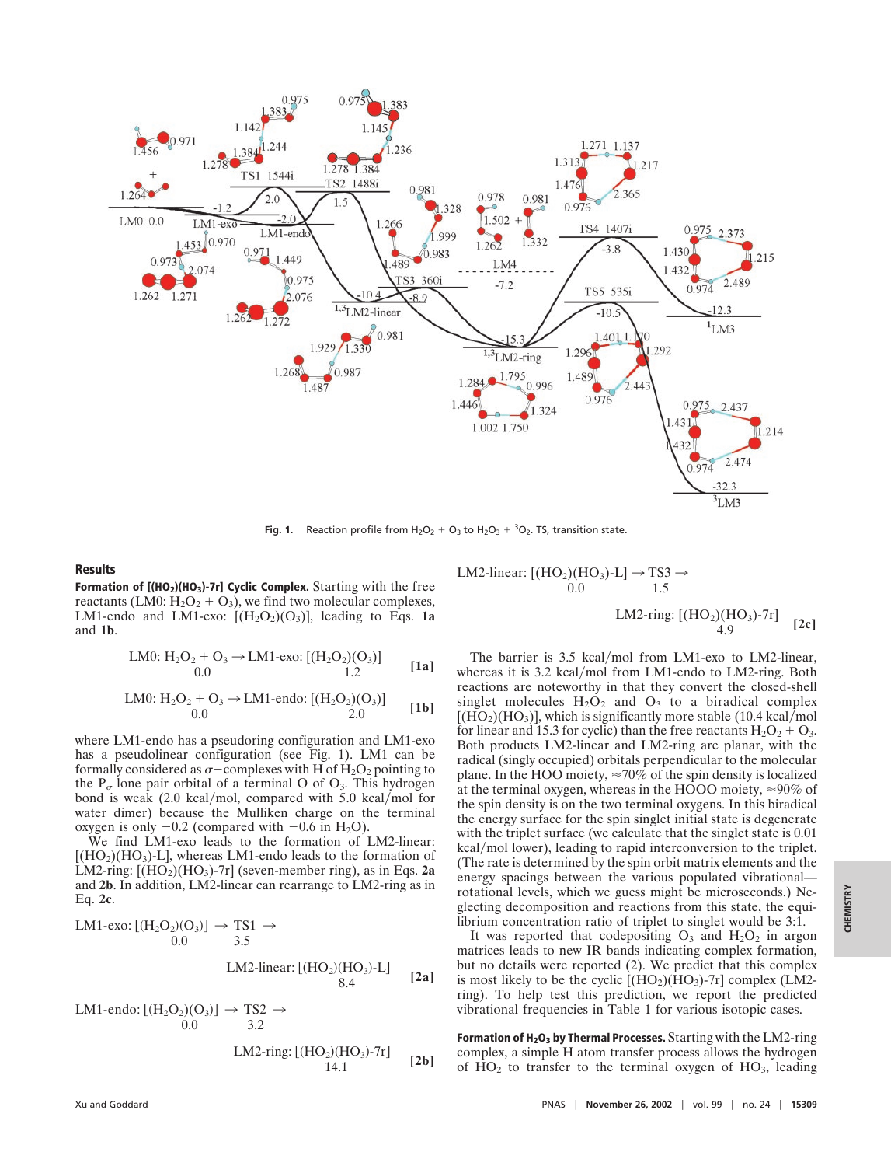

**Fig. 1.** Reaction profile from  $H_2O_2 + O_3$  to  $H_2O_3 + {}^3O_2$ . TS, transition state.

## **Results**

**Formation of [(HO<sub>2</sub>)(HO<sub>3</sub>)-7r] Cyclic Complex.** Starting with the free reactants (LM0:  $H_2O_2 + O_3$ ), we find two molecular complexes, LM1-endo and LM1-exo:  $[(H_2O_2)(O_3)]$ , leading to Eqs. 1a and **1b**.

LMO: H<sub>2</sub>O<sub>2</sub> + O<sub>3</sub> 
$$
\rightarrow
$$
 LM1-exo: [(H<sub>2</sub>O<sub>2</sub>)(O<sub>3</sub>)]  
\n0.0 1.2 [1a]

LMO: H<sub>2</sub>O<sub>2</sub> + O<sub>3</sub> 
$$
\rightarrow
$$
 LM1-endo: [(H<sub>2</sub>O<sub>2</sub>)(O<sub>3</sub>)]  
0.0 1**b**]

where LM1-endo has a pseudoring configuration and LM1-exo has a pseudolinear configuration (see Fig. 1). LM1 can be formally considered as  $\sigma$  – complexes with H of H<sub>2</sub>O<sub>2</sub> pointing to the  $P_{\sigma}$  lone pair orbital of a terminal O of O<sub>3</sub>. This hydrogen bond is weak  $(2.0 \text{ kcal/mol}, \text{compared with } 5.0 \text{ kcal/mol}$  for water dimer) because the Mulliken charge on the terminal oxygen is only  $-0.2$  (compared with  $-0.6$  in H<sub>2</sub>O).

We find LM1-exo leads to the formation of LM2-linear:  $[(HO<sub>2</sub>)(HO<sub>3</sub>)$ -L, whereas LM1-endo leads to the formation of LM2-ring:  $[(HO_2)(HO_3)$ -7r] (seven-member ring), as in Eqs. 2a and **2b**. In addition, LM2-linear can rearrange to LM2-ring as in Eq. **2c**.

$$
LM1-exo: [(H2O2)(O3)] \rightarrow TS1 \rightarrow
$$
  
0.0 3.5  
LM2-linear: [(HO<sub>2</sub>)(HO<sub>3</sub>)-L]  
- 8.4 [2a]

LM1-endo:  $[(H_2O_2)(O_3)] \rightarrow TS2 \rightarrow$ 0.0 3.2

LM2-ring: 
$$
[(HO_2)(HO_3)-7r]
$$
 [2b]

$$
LM2-linear: [(HO2)(HO3)-L] \rightarrow TS3 \rightarrow
$$
  
0.0  
LM2-ring: [(HO<sub>2</sub>)(HO<sub>3</sub>)-7r] [2c]

The barrier is 3.5 kcal/mol from LM1-exo to LM2-linear, whereas it is 3.2 kcal/mol from LM1-endo to LM2-ring. Both reactions are noteworthy in that they convert the closed-shell singlet molecules  $H_2O_2$  and  $O_3$  to a biradical complex  $[(HO<sub>2</sub>)(HO<sub>3</sub>)]$ , which is significantly more stable (10.4 kcal/mol) for linear and 15.3 for cyclic) than the free reactants  $H_2O_2 + O_3$ . Both products LM2-linear and LM2-ring are planar, with the radical (singly occupied) orbitals perpendicular to the molecular plane. In the HOO moiety,  $\approx 70\%$  of the spin density is localized at the terminal oxygen, whereas in the HOOO moiety, 90% of the spin density is on the two terminal oxygens. In this biradical the energy surface for the spin singlet initial state is degenerate with the triplet surface (we calculate that the singlet state is  $0.01$ ) kcal/mol lower), leading to rapid interconversion to the triplet. (The rate is determined by the spin orbit matrix elements and the energy spacings between the various populated vibrational rotational levels, which we guess might be microseconds.) Neglecting decomposition and reactions from this state, the equilibrium concentration ratio of triplet to singlet would be 3:1.

It was reported that codepositing  $O_3$  and  $H_2O_2$  in argon matrices leads to new IR bands indicating complex formation, but no details were reported (2). We predict that this complex is most likely to be the cyclic  $[(HO_2)(HO_3)-7r]$  complex (LM2ring). To help test this prediction, we report the predicted vibrational frequencies in Table 1 for various isotopic cases.

**Formation of H<sub>2</sub>O<sub>3</sub> by Thermal Processes.** Starting with the LM2-ring complex, a simple H atom transfer process allows the hydrogen of  $HO<sub>2</sub>$  to transfer to the terminal oxygen of  $HO<sub>3</sub>$ , leading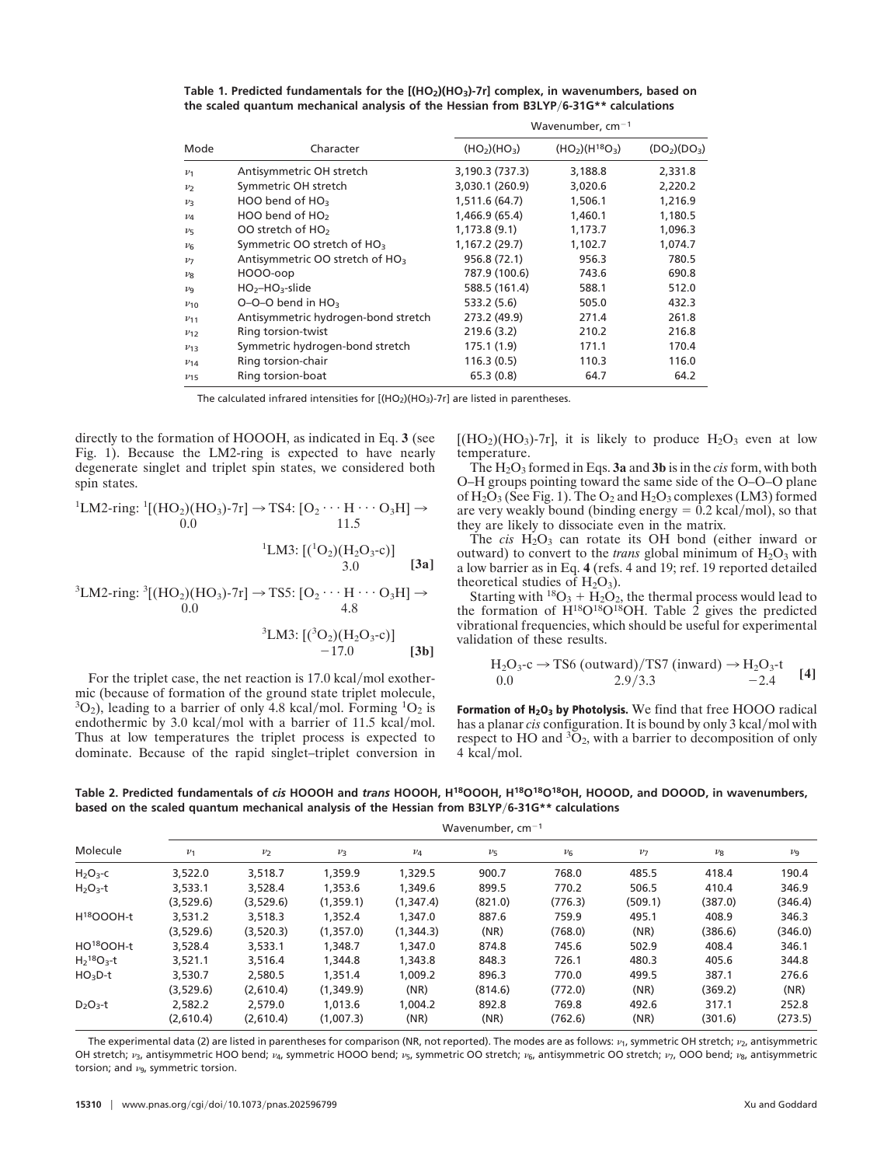|                     |                                             | Wavenumber, $cm^{-1}$                |                |                                      |  |  |
|---------------------|---------------------------------------------|--------------------------------------|----------------|--------------------------------------|--|--|
| Mode                | Character                                   | (HO <sub>2</sub> )(HO <sub>3</sub> ) | $(HO2)(H18O3)$ | (DO <sub>2</sub> )(DO <sub>3</sub> ) |  |  |
| $\nu_1$             | Antisymmetric OH stretch                    | 3,190.3 (737.3)                      | 3,188.8        | 2,331.8                              |  |  |
| $\nu$               | Symmetric OH stretch                        | 3,030.1 (260.9)                      | 3,020.6        | 2,220.2                              |  |  |
| $\nu$ 3             | HOO bend of HO <sub>3</sub>                 | 1,511.6 (64.7)                       | 1,506.1        | 1,216.9                              |  |  |
| $\nu_4$             | HOO bend of $HO2$                           | 1,466.9 (65.4)                       | 1,460.1        | 1,180.5                              |  |  |
| $\nu$               | OO stretch of HO <sub>2</sub>               | 1,173.8(9.1)                         | 1,173.7        | 1,096.3                              |  |  |
| $\nu_{\mathsf{G}}$  | Symmetric OO stretch of HO <sub>3</sub>     | 1,167.2 (29.7)                       | 1,102.7        | 1,074.7                              |  |  |
| $\nu$               | Antisymmetric OO stretch of HO <sub>3</sub> | 956.8 (72.1)                         | 956.3          | 780.5                                |  |  |
| $\nu_{\mathcal{R}}$ | HOOO-oop                                    | 787.9 (100.6)                        | 743.6          | 690.8                                |  |  |
| $\nu_{\mathsf{q}}$  | $HO_2$ -HO <sub>3</sub> -slide              | 588.5 (161.4)                        | 588.1          | 512.0                                |  |  |
| $v_{10}$            | $O-O-O$ bend in $HO3$                       | 533.2 (5.6)                          | 505.0          | 432.3                                |  |  |
| $v_{11}$            | Antisymmetric hydrogen-bond stretch         | 273.2 (49.9)                         | 271.4          | 261.8                                |  |  |
| $v_{12}$            | Ring torsion-twist                          | 219.6 (3.2)                          | 210.2          | 216.8                                |  |  |
| $v_{13}$            | Symmetric hydrogen-bond stretch             | 175.1 (1.9)                          | 171.1          | 170.4                                |  |  |
| $v_{14}$            | Ring torsion-chair                          | 116.3 (0.5)                          | 110.3          | 116.0                                |  |  |
| $v_{15}$            | Ring torsion-boat                           | 65.3(0.8)                            | 64.7           | 64.2                                 |  |  |

Table 1. Predicted fundamentals for the  $[(HO<sub>2</sub>)(HO<sub>3</sub>)-7r]$  complex, in wavenumbers, based on **the scaled quantum mechanical analysis of the Hessian from B3LYP6-31G\*\* calculations**

The calculated infrared intensities for  $[(HO_2)(HO_3)-7r]$  are listed in parentheses.

directly to the formation of HOOOH, as indicated in Eq. **3** (see Fig. 1). Because the LM2-ring is expected to have nearly degenerate singlet and triplet spin states, we considered both spin states.

<sup>1</sup>LM2-ring: 
$$
{}^{1}[(HO_{2})(HO_{3})-7r] \rightarrow TS4
$$
:  $[O_{2} \cdots H \cdots O_{3}H] \rightarrow$   
\n<sup>1</sup>LM3:  $[({}^{1}O_{2})(H_{2}O_{3}-c)]$   
\n<sup>1</sup>LM3:  $[({}^{1}O_{2})(H_{2}O_{3}-c)]$   
\n<sup>3</sup>.0 [3a]

<sup>3</sup>LM2-ring: 
$$
{}^{3}
$$
[(HO<sub>2</sub>)(HO<sub>3</sub>)-7r]  $\rightarrow$  TSS: [O<sub>2</sub> · · · H · · · O<sub>3</sub>H]  $\rightarrow$  0.0 4.8

<sup>3</sup>LM3: 
$$
[({}^{3}O_{2})(H_{2}O_{3}-c)]
$$
  
-17.0 [3b]

For the triplet case, the net reaction is  $17.0 \text{ kcal/mol exother}$ mic (because of formation of the ground state triplet molecule,  $3O_2$ ), leading to a barrier of only 4.8 kcal/mol. Forming  $1O_2$  is endothermic by 3.0 kcal/mol with a barrier of 11.5 kcal/mol. Thus at low temperatures the triplet process is expected to dominate. Because of the rapid singlet–triplet conversion in  $[(HO<sub>2</sub>)(HO<sub>3</sub>)-7r]$ , it is likely to produce  $H<sub>2</sub>O<sub>3</sub>$  even at low temperature.

The H2O3 formed in Eqs. **3a** and **3b** is in the *cis* form, with both O–H groups pointing toward the same side of the O–O–O plane of  $H_2O_3$  (See Fig. 1). The  $O_2$  and  $H_2O_3$  complexes (LM3) formed are very weakly bound (binding energy  $= 0.2$  kcal/mol), so that they are likely to dissociate even in the matrix.

The *cis*  $H_2O_3$  can rotate its OH bond (either inward or outward) to convert to the *trans* global minimum of  $H_2O_3$  with a low barrier as in Eq. **4** (refs. 4 and 19; ref. 19 reported detailed theoretical studies of  $H_2O_3$ ).

Starting with <sup>18</sup>O<sub>3</sub> + H<sub>2</sub>O<sub>2</sub>, the thermal process would lead to the formation of  $H^{18}O^{18}OH$ . Table 2 gives the predicted vibrational frequencies, which should be useful for experimental validation of these results.

$$
H_2O_3 \text{-c} \rightarrow TS6 \text{ (outward)/TS7 (inward)} \rightarrow H_2O_3 \text{-t}
$$
  
0.0 2.9/3.3 -2.4 [4]

Formation of  $H_2O_3$  by Photolysis. We find that free HOOO radical has a planar *cis* configuration. It is bound by only 3 kcal/mol with respect to HO and  ${}^{3}O_{2}$ , with a barrier to decomposition of only  $4$  kcal/mol.

**Table 2. Predicted fundamentals of** *cis* **HOOOH and** *trans* **HOOOH, H18OOOH, H18O18O18OH, HOOOD, and DOOOD, in wavenumbers, based on the scaled quantum mechanical analysis of the Hessian from B3LYP6-31G\*\* calculations**

| Molecule               | Wavenumber, $cm^{-1}$ |                |           |           |                    |         |         |         |         |
|------------------------|-----------------------|----------------|-----------|-----------|--------------------|---------|---------|---------|---------|
|                        | $\nu_1$               | v <sub>2</sub> | $\nu_3$   | $\nu_4$   | $\nu$ <sub>5</sub> | $\nu_6$ | $\nu$   | $\nu_8$ | $\nu_9$ |
| $H_2O_3$ -C            | 3,522.0               | 3,518.7        | 1,359.9   | 1,329.5   | 900.7              | 768.0   | 485.5   | 418.4   | 190.4   |
| $H_2O_3-t$             | 3,533.1               | 3,528.4        | 1,353.6   | 1,349.6   | 899.5              | 770.2   | 506.5   | 410.4   | 346.9   |
|                        | (3,529.6)             | (3,529.6)      | (1,359.1) | (1,347.4) | (821.0)            | (776.3) | (509.1) | (387.0) | (346.4) |
| H <sup>18</sup> OOOH-t | 3,531.2               | 3,518.3        | 1,352.4   | 1,347.0   | 887.6              | 759.9   | 495.1   | 408.9   | 346.3   |
|                        | (3,529.6)             | (3,520.3)      | (1,357.0) | (1,344.3) | (NR)               | (768.0) | (NR)    | (386.6) | (346.0) |
| HO <sup>18</sup> OOH-t | 3,528.4               | 3,533.1        | 1,348.7   | 1,347.0   | 874.8              | 745.6   | 502.9   | 408.4   | 346.1   |
| $H218O3$ -t            | 3,521.1               | 3,516.4        | 1,344.8   | 1,343.8   | 848.3              | 726.1   | 480.3   | 405.6   | 344.8   |
| $HO3D-t$               | 3,530.7               | 2,580.5        | 1.351.4   | 1.009.2   | 896.3              | 770.0   | 499.5   | 387.1   | 276.6   |
|                        | (3,529.6)             | (2,610.4)      | (1,349.9) | (NR)      | (814.6)            | (772.0) | (NR)    | (369.2) | (NR)    |
| $D_2O_3-t$             | 2,582.2               | 2,579.0        | 1.013.6   | 1.004.2   | 892.8              | 769.8   | 492.6   | 317.1   | 252.8   |
|                        | (2.610.4)             | (2,610.4)      | (1,007.3) | (NR)      | (NR)               | (762.6) | (NR)    | (301.6) | (273.5) |

The experimental data (2) are listed in parentheses for comparison (NR, not reported). The modes are as follows:  $v_1$ , symmetric OH stretch;  $v_2$ , antisymmetric OH stretch;  $v_3$ , antisymmetric HOO bend;  $v_4$ , symmetric HOOO bend;  $v_5$ , symmetric OO stretch;  $v_6$ , antisymmetric OO stretch;  $v_7$ , OOO bend;  $v_8$ , antisymmetric torsion; and  $\nu$ <sub>9</sub>, symmetric torsion.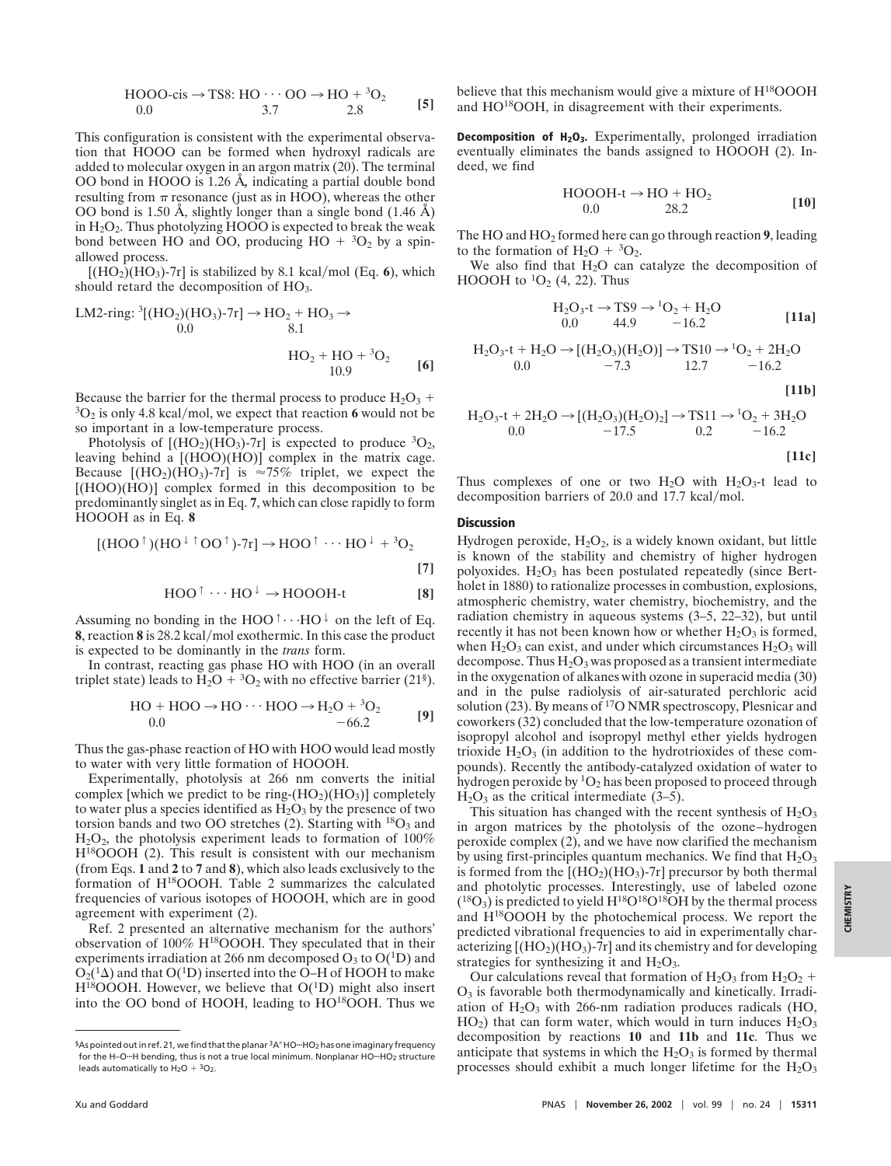$$
HOOO\text{-cis} \rightarrow TS8: HO \cdots OO \rightarrow HO + {}^{3}O_{2}
$$
  
0.0 3.7 2.8 [5]

This configuration is consistent with the experimental observation that HOOO can be formed when hydroxyl radicals are added to molecular oxygen in an argon matrix (20). The terminal OO bond in HOOO is 1.26 Å*,* indicating a partial double bond resulting from  $\pi$  resonance (just as in HOO), whereas the other OO bond is 1.50 Å, slightly longer than a single bond (1.46 Å) in  $H_2O_2$ . Thus photolyzing HOOO is expected to break the weak bond between HO and OO, producing  $HO + {}^{3}O_{2}$  by a spinallowed process.

 $[(HO<sub>2</sub>)(HO<sub>3</sub>)-7r]$  is stabilized by 8.1 kcal/mol (Eq. 6), which should retard the decomposition of HO<sub>3</sub>.

LM2-ring: 
$$
{}^{3}
$$
[(HO<sub>2</sub>)(HO<sub>3</sub>)-7r] → HO<sub>2</sub> + HO<sub>3</sub> →  
\n0.0  
\n ${}^{8.1}$   
\nHO<sub>2</sub> + HO +  ${}^{3}$ O<sub>2</sub> [6]

Because the barrier for the thermal process to produce  $H_2O_3$  +  ${}^3O_2$  is only 4.8 kcal/mol, we expect that reaction **6** would not be so important in a low-temperature process.

Photolysis of  $[(HO_2)(HO_3)-7r]$  is expected to produce  ${}^{3}O_2$ , leaving behind a [(HOO)(HO)] complex in the matrix cage. Because  $[(HO_2)(HO_3)$ -7r] is  $\approx 75\%$  triplet, we expect the  $[(HOO)(HO)]$  complex formed in this decomposition to be predominantly singlet as in Eq. **7**, which can close rapidly to form HOOOH as in Eq. **8**

$$
[(HOO^{\dagger})(HO^{\dagger} \uparrow OO^{\dagger})-7r] \rightarrow HOO^{\dagger} \cdots HO^{\dagger} + {}^{3}O_{2}
$$
\n[7]

$$
HOO^{\uparrow} \cdots HO^{\downarrow} \rightarrow HOOOH-t
$$
 [8]

Assuming no bonding in the HOO<sup> $\uparrow \cdots$ </sup>HO<sup> $\downarrow$ </sup> on the left of Eq. **8**, reaction **8** is 28.2 kcal/mol exothermic. In this case the product is expected to be dominantly in the *trans* form.

In contrast, reacting gas phase HO with HOO (in an overall triplet state) leads to  $\overline{H_2O} + {^3O_2}$  with no effective barrier (21<sup>§</sup>).

$$
HO + HOO \rightarrow HO \cdots HOO \rightarrow H_2O + {^3O_2} \n-66.2
$$
 [9]

Thus the gas-phase reaction of HO with HOO would lead mostly to water with very little formation of HOOOH.

Experimentally, photolysis at 266 nm converts the initial complex [which we predict to be ring- $(HO<sub>2</sub>)(HO<sub>3</sub>)$ ] completely to water plus a species identified as  $H_2O_3$  by the presence of two torsion bands and two OO stretches (2). Starting with  $^{18}O_3$  and  $H<sub>2</sub>O<sub>2</sub>$ , the photolysis experiment leads to formation of 100% H18OOOH (2). This result is consistent with our mechanism (from Eqs. **1** and **2** to **7** and **8**), which also leads exclusively to the formation of H18OOOH. Table 2 summarizes the calculated frequencies of various isotopes of HOOOH, which are in good agreement with experiment (2).

Ref. 2 presented an alternative mechanism for the authors' observation of 100% H18OOOH. They speculated that in their experiments irradiation at 266 nm decomposed  $O_3$  to  $O(^{1}D)$  and  $O_2(^1\Delta)$  and that  $O(^1D)$  inserted into the O–H of HOOH to make  $H^{18}$ OOOH. However, we believe that  $O(^{1}D)$  might also insert into the OO bond of HOOH, leading to HO18OOH. Thus we believe that this mechanism would give a mixture of H<sup>18</sup>OOOH and HO<sup>18</sup>OOH, in disagreement with their experiments.

**Decomposition of H<sub>2</sub>O<sub>3</sub>.** Experimentally, prolonged irradiation eventually eliminates the bands assigned to HOOOH (2). Indeed, we find

$$
HOOOH-t \rightarrow HO + HO2
$$
  
0.0 28.2 [10]

The HO and HO2 formed here can go through reaction **9**, leading to the formation of  $H_2O + {}^3O_2$ .

We also find that  $H_2O$  can catalyze the decomposition of HOOOH to  ${}^{1}O_{2}$  (4, 22). Thus

$$
H2O3-t \to TS9 \to {}^{1}O_{2} + H2O0.0 44.9 -16.2 [11a]
$$

$$
H_2O_3-t + H_2O \rightarrow [(H_2O_3)(H_2O)] \rightarrow TS10 \rightarrow {}^1O_2 + 2H_2O0.0 -7.3 12.7 -16.2
$$

$$
H_2O_3-t + 2H_2O \rightarrow [(H_2O_3)(H_2O)_2] \rightarrow TS11 \rightarrow {}^1O_2 + 3H_2O
$$
  
0.0 -17.5 0.2 -16.2

$$
[11c]
$$

**[11b]**

Thus complexes of one or two  $H_2O$  with  $H_2O_3$ -t lead to decomposition barriers of  $20.0$  and  $17.7$  kcal/mol.

## **Discussion**

Hydrogen peroxide,  $H_2O_2$ , is a widely known oxidant, but little is known of the stability and chemistry of higher hydrogen polyoxides.  $H_2O_3$  has been postulated repeatedly (since Bertholet in 1880) to rationalize processes in combustion, explosions, atmospheric chemistry, water chemistry, biochemistry, and the radiation chemistry in aqueous systems (3–5, 22–32), but until recently it has not been known how or whether  $H_2O_3$  is formed, when  $H_2O_3$  can exist, and under which circumstances  $H_2O_3$  will decompose. Thus  $H_2O_3$  was proposed as a transient intermediate in the oxygenation of alkanes with ozone in superacid media (30) and in the pulse radiolysis of air-saturated perchloric acid solution (23). By means of <sup>17</sup>O NMR spectroscopy, Plesnicar and coworkers (32) concluded that the low-temperature ozonation of isopropyl alcohol and isopropyl methyl ether yields hydrogen trioxide  $H_2O_3$  (in addition to the hydrotrioxides of these compounds). Recently the antibody-catalyzed oxidation of water to hydrogen peroxide by  ${}^{1}O_{2}$  has been proposed to proceed through  $H<sub>2</sub>O<sub>3</sub>$  as the critical intermediate (3–5).

This situation has changed with the recent synthesis of  $H_2O_3$ in argon matrices by the photolysis of the ozone–hydrogen peroxide complex (2), and we have now clarified the mechanism by using first-principles quantum mechanics. We find that  $H_2O_3$ is formed from the  $[(HO_2)(HO_3)-7r]$  precursor by both thermal and photolytic processes. Interestingly, use of labeled ozone  $(18O<sub>3</sub>)$  is predicted to yield H<sup>18</sup>O<sup>18</sup>O<sup>18</sup>OH by the thermal process and H18OOOH by the photochemical process. We report the predicted vibrational frequencies to aid in experimentally characterizing  $[(HO_2)(HO_3)$ -7r] and its chemistry and for developing strategies for synthesizing it and  $H_2O_3$ .

Our calculations reveal that formation of  $H_2O_3$  from  $H_2O_2$  +  $O<sub>3</sub>$  is favorable both thermodynamically and kinetically. Irradiation of  $H_2O_3$  with 266-nm radiation produces radicals (HO,  $HO<sub>2</sub>$ ) that can form water, which would in turn induces  $H<sub>2</sub>O<sub>3</sub>$ decomposition by reactions **10** and **11b** and **11c**. Thus we anticipate that systems in which the  $H_2O_3$  is formed by thermal processes should exhibit a much longer lifetime for the  $H_2O_3$ 

<sup>§</sup>As pointed out in ref. 21, we find that the planar <sup>3</sup>A" HO<sup>-+</sup>HO<sub>2</sub> has one imaginary frequency for the H-O-H bending, thus is not a true local minimum. Nonplanar HO-HO<sub>2</sub> structure leads automatically to  $H_2O + {}^3O_2$ .